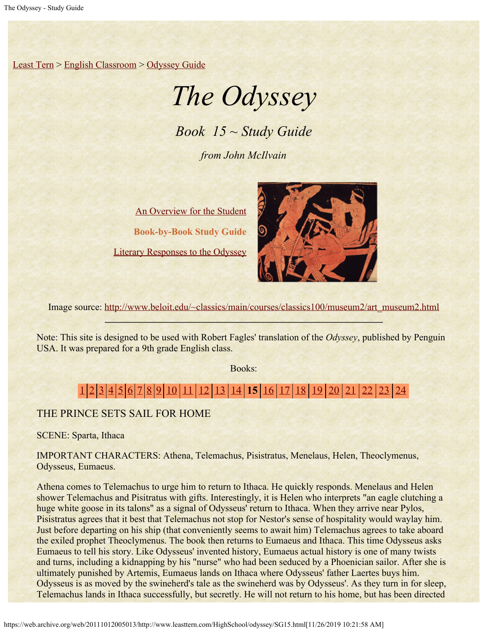[Least Tern](https://web.archive.org/web/20111012005013/http://www.leasttern.com/index.html) > [English Classroom](https://web.archive.org/web/20111012005013/http://www.leasttern.com/Engclass.html) > [Odyssey Guide](https://web.archive.org/web/20111012005013/http://www.leasttern.com/HighSchool/odyssey/Odyssey.html)

# *The Odyssey*

*Book 15 ~ Study Guide*

*from John McIlvain*

[An Overview for the Student](https://web.archive.org/web/20111012005013/http://www.leasttern.com/HighSchool/odyssey/Odyssey1.html) **Book-by-Book Study Guide** [Literary Responses to the Odyssey](https://web.archive.org/web/20111012005013/http://www.leasttern.com/HighSchool/odyssey/Odysseyresponses.html)



Image source: [http://www.beloit.edu/~classics/main/courses/classics100/museum2/art\\_museum2.html](https://web.archive.org/web/20111012005013/http://www.beloit.edu/%7Eclassics/main/courses/classics100/museum2/art_museum2.html)

Note: This site is designed to be used with Robert Fagles' translation of the *Odyssey*, published by Penguin USA. It was prepared for a 9th grade English class.

Books:

## [1](https://web.archive.org/web/20111012005013/http://www.leasttern.com/HighSchool/odyssey/SG1.html) [2](https://web.archive.org/web/20111012005013/http://www.leasttern.com/HighSchool/odyssey/SG2.html) [3](https://web.archive.org/web/20111012005013/http://www.leasttern.com/HighSchool/odyssey/SG3.html) [4](https://web.archive.org/web/20111012005013/http://www.leasttern.com/HighSchool/odyssey/SG4.html) [5](https://web.archive.org/web/20111012005013/http://www.leasttern.com/HighSchool/odyssey/SG5.html) [6](https://web.archive.org/web/20111012005013/http://www.leasttern.com/HighSchool/odyssey/SG6.html) [7](https://web.archive.org/web/20111012005013/http://www.leasttern.com/HighSchool/odyssey/SG7.html) [8](https://web.archive.org/web/20111012005013/http://www.leasttern.com/HighSchool/odyssey/SG8.html) [9](https://web.archive.org/web/20111012005013/http://www.leasttern.com/HighSchool/odyssey/SG9.html) [10](https://web.archive.org/web/20111012005013/http://www.leasttern.com/HighSchool/odyssey/SG10.html) [11](https://web.archive.org/web/20111012005013/http://www.leasttern.com/HighSchool/odyssey/SG11.html) [12](https://web.archive.org/web/20111012005013/http://www.leasttern.com/HighSchool/odyssey/SG12.html) [13](https://web.archive.org/web/20111012005013/http://www.leasttern.com/HighSchool/odyssey/SG13.html) [14](https://web.archive.org/web/20111012005013/http://www.leasttern.com/HighSchool/odyssey/SG14.html) **15** [16](https://web.archive.org/web/20111012005013/http://www.leasttern.com/HighSchool/odyssey/SG16.html) [17](https://web.archive.org/web/20111012005013/http://www.leasttern.com/HighSchool/odyssey/SG17.html) [18](https://web.archive.org/web/20111012005013/http://www.leasttern.com/HighSchool/odyssey/SG18.html) [19](https://web.archive.org/web/20111012005013/http://www.leasttern.com/HighSchool/odyssey/SG19.html) [20](https://web.archive.org/web/20111012005013/http://www.leasttern.com/HighSchool/odyssey/SG20.html) [21](https://web.archive.org/web/20111012005013/http://www.leasttern.com/HighSchool/odyssey/SG21.html) [22](https://web.archive.org/web/20111012005013/http://www.leasttern.com/HighSchool/odyssey/SG22.html) [23](https://web.archive.org/web/20111012005013/http://www.leasttern.com/HighSchool/odyssey/SG23.html) [24](https://web.archive.org/web/20111012005013/http://www.leasttern.com/HighSchool/odyssey/SG24.html)

### THE PRINCE SETS SAIL FOR HOME

SCENE: Sparta, Ithaca

IMPORTANT CHARACTERS: Athena, Telemachus, Pisistratus, Menelaus, Helen, Theoclymenus, Odysseus, Eumaeus.

Athena comes to Telemachus to urge him to return to Ithaca. He quickly responds. Menelaus and Helen shower Telemachus and Pisitratus with gifts. Interestingly, it is Helen who interprets "an eagle clutching a huge white goose in its talons" as a signal of Odysseus' return to Ithaca. When they arrive near Pylos, Pisistratus agrees that it best that Telemachus not stop for Nestor's sense of hospitality would waylay him. Just before departing on his ship (that conveniently seems to await him) Telemachus agrees to take aboard the exiled prophet Theoclymenus. The book then returns to Eumaeus and Ithaca. This time Odysseus asks Eumaeus to tell his story. Like Odysseus' invented history, Eumaeus actual history is one of many twists and turns, including a kidnapping by his "nurse" who had been seduced by a Phoenician sailor. After she is ultimately punished by Artemis, Eumaeus lands on Ithaca where Odysseus' father Laertes buys him. Odysseus is as moved by the swineherd's tale as the swineherd was by Odysseus'. As they turn in for sleep, Telemachus lands in Ithaca successfully, but secretly. He will not return to his home, but has been directed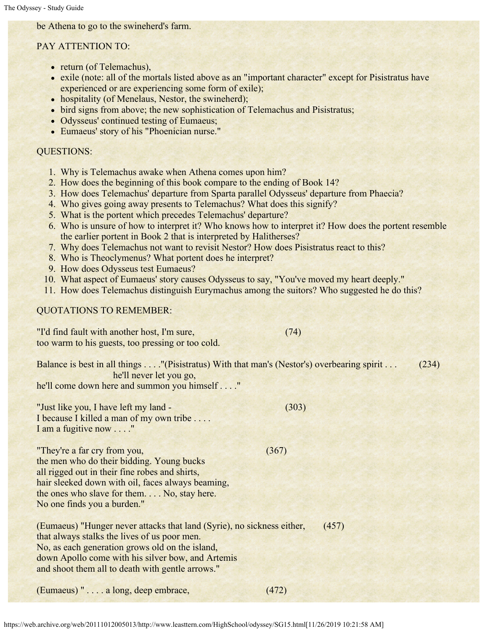be Athena to go to the swineherd's farm.

### PAY ATTENTION TO:

- return (of Telemachus),
- exile (note: all of the mortals listed above as an "important character" except for Pisistratus have experienced or are experiencing some form of exile);
- hospitality (of Menelaus, Nestor, the swineherd);
- bird signs from above; the new sophistication of Telemachus and Pisistratus;
- Odysseus' continued testing of Eumaeus;
- Eumaeus' story of his "Phoenician nurse."

#### QUESTIONS:

- 1. Why is Telemachus awake when Athena comes upon him?
- 2. How does the beginning of this book compare to the ending of Book 14?
- 3. How does Telemachus' departure from Sparta parallel Odysseus' departure from Phaecia?
- 4. Who gives going away presents to Telemachus? What does this signify?
- 5. What is the portent which precedes Telemachus' departure?
- 6. Who is unsure of how to interpret it? Who knows how to interpret it? How does the portent resemble the earlier portent in Book 2 that is interpreted by Halitherses?
- 7. Why does Telemachus not want to revisit Nestor? How does Pisistratus react to this?
- 8. Who is Theoclymenus? What portent does he interpret?
- 9. How does Odysseus test Eumaeus?
- 10. What aspect of Eumaeus' story causes Odysseus to say, "You've moved my heart deeply."
- 11. How does Telemachus distinguish Eurymachus among the suitors? Who suggested he do this?

### QUOTATIONS TO REMEMBER:

"I'd find fault with another host, I'm sure, (74) too warm to his guests, too pressing or too cold.

| Balance is best in all things "(Pisistratus) With that man's (Nestor's) overbearing spirit<br>he'll never let you go,<br>he'll come down here and summon you himself "                                                                                        |       | (234) |
|---------------------------------------------------------------------------------------------------------------------------------------------------------------------------------------------------------------------------------------------------------------|-------|-------|
| "Just like you, I have left my land -<br>I because I killed a man of my own tribe<br>I am a fugitive now "                                                                                                                                                    | (303) |       |
| "They're a far cry from you,<br>the men who do their bidding. Young bucks<br>all rigged out in their fine robes and shirts,<br>hair sleeked down with oil, faces always beaming,<br>the ones who slave for them No, stay here.<br>No one finds you a burden." | (367) |       |

| (Eumaeus) "Hunger never attacks that land (Syrie), no sickness either, | (457) |
|------------------------------------------------------------------------|-------|
| that always stalks the lives of us poor men.                           |       |
| No, as each generation grows old on the island,                        |       |
| down Apollo come with his silver bow, and Artemis                      |       |
| and shoot them all to death with gentle arrows."                       |       |

(Eumaeus) " . . . . a long, deep embrace, (472)